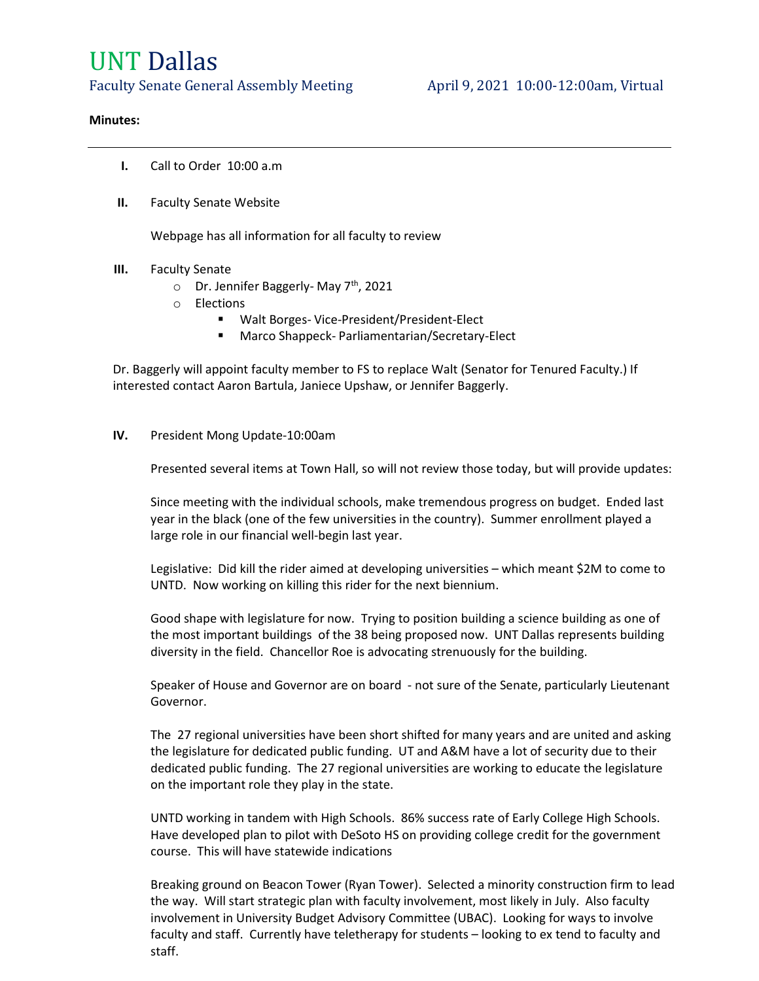# UNT Dallas

Faculty Senate General Assembly Meeting April 9, 2021 10:00-12:00am, Virtual

#### Minutes:

- I. Call to Order 10:00 a.m
- II. Faculty Senate Website

Webpage has all information for all faculty to review

- III. Faculty Senate
	- $\circ$  Dr. Jennifer Baggerly-May 7<sup>th</sup>, 2021
	- o Elections
		- Walt Borges- Vice-President/President-Elect
			- Marco Shappeck- Parliamentarian/Secretary-Elect

Dr. Baggerly will appoint faculty member to FS to replace Walt (Senator for Tenured Faculty.) If interested contact Aaron Bartula, Janiece Upshaw, or Jennifer Baggerly.

# IV. President Mong Update-10:00am

Presented several items at Town Hall, so will not review those today, but will provide updates:

Since meeting with the individual schools, make tremendous progress on budget. Ended last year in the black (one of the few universities in the country). Summer enrollment played a large role in our financial well-begin last year.

Legislative: Did kill the rider aimed at developing universities – which meant \$2M to come to UNTD. Now working on killing this rider for the next biennium.

Good shape with legislature for now. Trying to position building a science building as one of the most important buildings of the 38 being proposed now. UNT Dallas represents building diversity in the field. Chancellor Roe is advocating strenuously for the building.

Speaker of House and Governor are on board - not sure of the Senate, particularly Lieutenant Governor.

The 27 regional universities have been short shifted for many years and are united and asking the legislature for dedicated public funding. UT and A&M have a lot of security due to their dedicated public funding. The 27 regional universities are working to educate the legislature on the important role they play in the state.

UNTD working in tandem with High Schools. 86% success rate of Early College High Schools. Have developed plan to pilot with DeSoto HS on providing college credit for the government course. This will have statewide indications

Breaking ground on Beacon Tower (Ryan Tower). Selected a minority construction firm to lead the way. Will start strategic plan with faculty involvement, most likely in July. Also faculty involvement in University Budget Advisory Committee (UBAC). Looking for ways to involve faculty and staff. Currently have teletherapy for students – looking to ex tend to faculty and staff.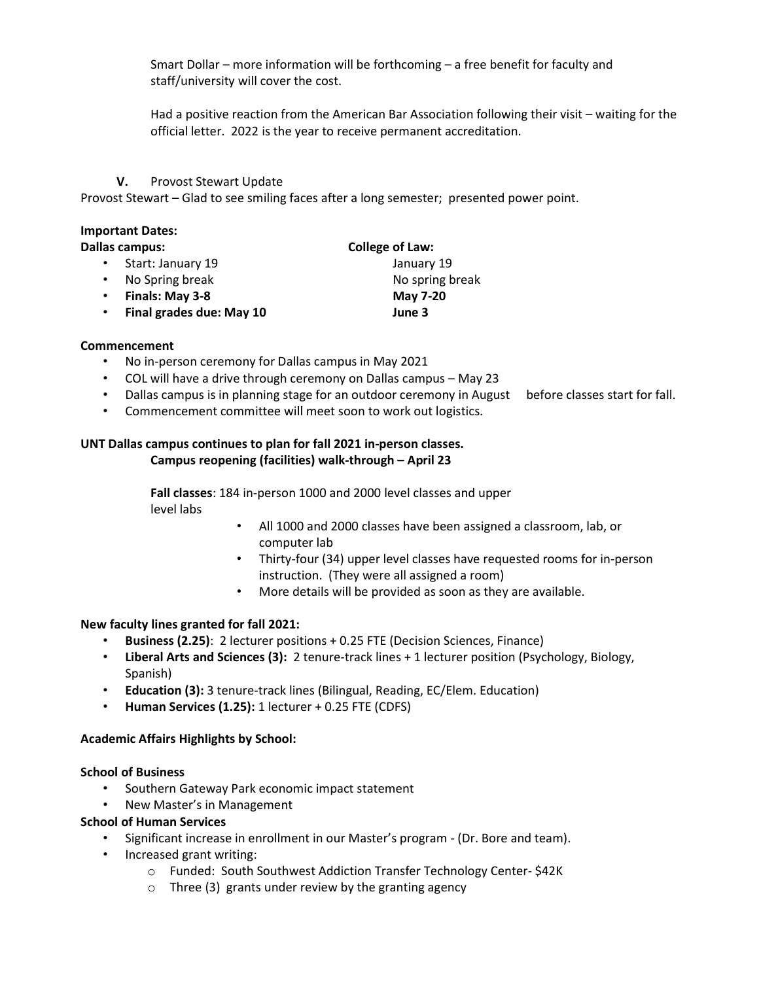Smart Dollar – more information will be forthcoming – a free benefit for faculty and staff/university will cover the cost.

Had a positive reaction from the American Bar Association following their visit – waiting for the official letter. 2022 is the year to receive permanent accreditation.

V. Provost Stewart Update

Provost Stewart – Glad to see smiling faces after a long semester; presented power point.

#### Important Dates:

|  | <b>Dallas campus:</b> |
|--|-----------------------|
|--|-----------------------|

- Start: January 19 January 19
- No Spring break **No spring break** No spring break
- Finals: May 3-8 May 7-20
- Final grades due: May 10 June 3

# Commencement

- No in-person ceremony for Dallas campus in May 2021
- COL will have a drive through ceremony on Dallas campus May 23
- Dallas campus is in planning stage for an outdoor ceremony in August before classes start for fall.

College of Law:

• Commencement committee will meet soon to work out logistics.

#### UNT Dallas campus continues to plan for fall 2021 in-person classes. Campus reopening (facilities) walk-through – April 23

Fall classes: 184 in-person 1000 and 2000 level classes and upper level labs

- All 1000 and 2000 classes have been assigned a classroom, lab, or computer lab
- Thirty-four (34) upper level classes have requested rooms for in-person instruction. (They were all assigned a room)
- More details will be provided as soon as they are available.

# New faculty lines granted for fall 2021:

- Business (2.25): 2 lecturer positions + 0.25 FTE (Decision Sciences, Finance)
- Liberal Arts and Sciences (3): 2 tenure-track lines + 1 lecturer position (Psychology, Biology, Spanish)
- Education (3): 3 tenure-track lines (Bilingual, Reading, EC/Elem. Education)
- Human Services (1.25): 1 lecturer + 0.25 FTE (CDFS)

# Academic Affairs Highlights by School:

# School of Business

- Southern Gateway Park economic impact statement
- New Master's in Management

# School of Human Services

- Significant increase in enrollment in our Master's program (Dr. Bore and team).
- Increased grant writing:
	- o Funded: South Southwest Addiction Transfer Technology Center- \$42K
	- o Three (3) grants under review by the granting agency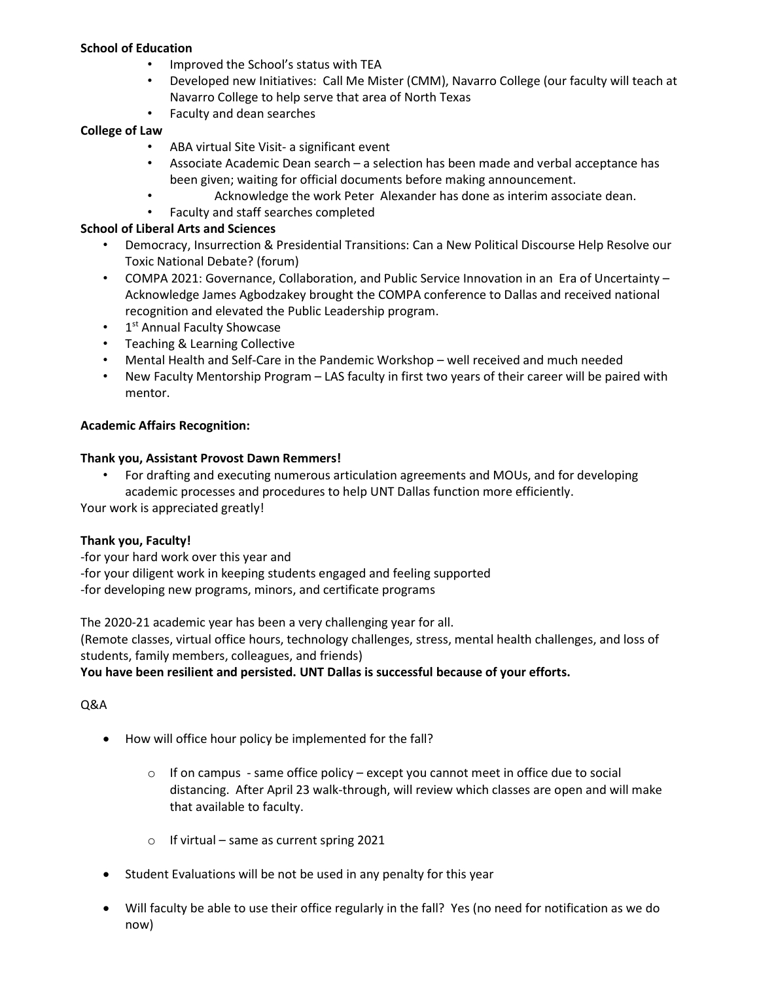# School of Education

- Improved the School's status with TEA
- Developed new Initiatives: Call Me Mister (CMM), Navarro College (our faculty will teach at Navarro College to help serve that area of North Texas
- Faculty and dean searches

# College of Law

- ABA virtual Site Visit- a significant event
- Associate Academic Dean search a selection has been made and verbal acceptance has been given; waiting for official documents before making announcement.
	- Acknowledge the work Peter Alexander has done as interim associate dean.
- Faculty and staff searches completed

# School of Liberal Arts and Sciences

- Democracy, Insurrection & Presidential Transitions: Can a New Political Discourse Help Resolve our Toxic National Debate? (forum)
- COMPA 2021: Governance, Collaboration, and Public Service Innovation in an Era of Uncertainty Acknowledge James Agbodzakey brought the COMPA conference to Dallas and received national recognition and elevated the Public Leadership program.
- 1<sup>st</sup> Annual Faculty Showcase
- Teaching & Learning Collective
- Mental Health and Self-Care in the Pandemic Workshop well received and much needed
- New Faculty Mentorship Program LAS faculty in first two years of their career will be paired with mentor.

# Academic Affairs Recognition:

# Thank you, Assistant Provost Dawn Remmers!

• For drafting and executing numerous articulation agreements and MOUs, and for developing academic processes and procedures to help UNT Dallas function more efficiently.

Your work is appreciated greatly!

# Thank you, Faculty!

-for your hard work over this year and

-for your diligent work in keeping students engaged and feeling supported

-for developing new programs, minors, and certificate programs

The 2020-21 academic year has been a very challenging year for all.

(Remote classes, virtual office hours, technology challenges, stress, mental health challenges, and loss of students, family members, colleagues, and friends)

# You have been resilient and persisted. UNT Dallas is successful because of your efforts.

# Q&A

- How will office hour policy be implemented for the fall?
	- $\circ$  If on campus same office policy except you cannot meet in office due to social distancing. After April 23 walk-through, will review which classes are open and will make that available to faculty.
	- $\circ$  If virtual same as current spring 2021
- Student Evaluations will be not be used in any penalty for this year
- Will faculty be able to use their office regularly in the fall? Yes (no need for notification as we do now)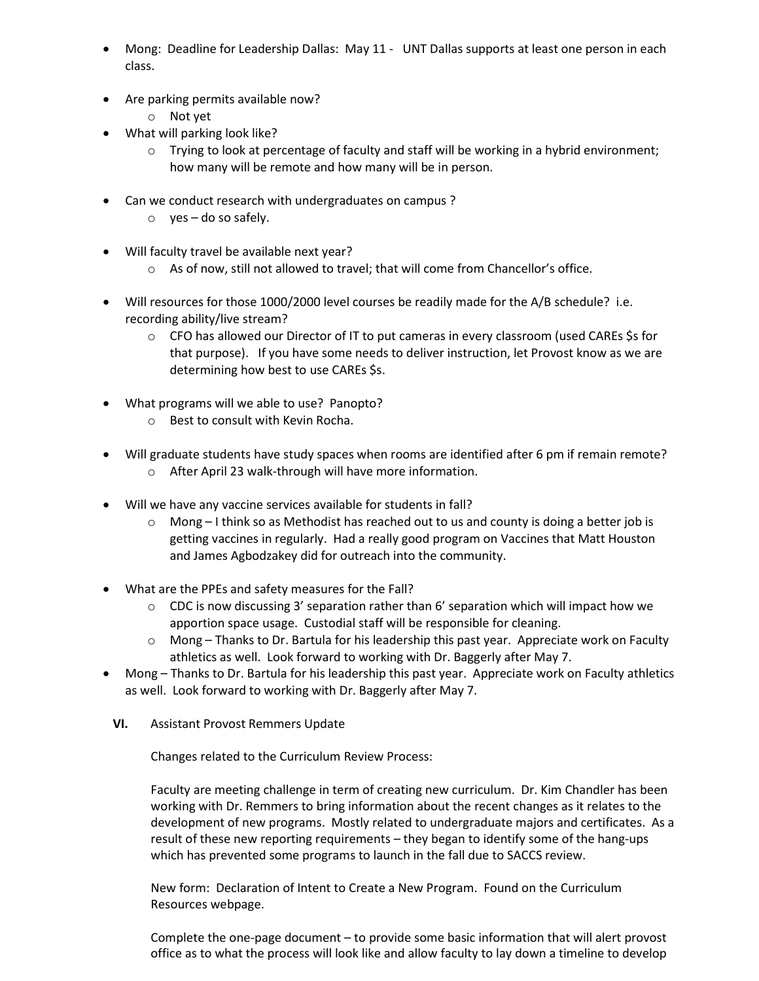- Mong: Deadline for Leadership Dallas: May 11 UNT Dallas supports at least one person in each class.
- Are parking permits available now?
	- o Not yet
- What will parking look like?
	- o Trying to look at percentage of faculty and staff will be working in a hybrid environment; how many will be remote and how many will be in person.
- Can we conduct research with undergraduates on campus ?
	- $\circ$  yes do so safely.
- Will faculty travel be available next year?
	- o As of now, still not allowed to travel; that will come from Chancellor's office.
- Will resources for those 1000/2000 level courses be readily made for the A/B schedule? i.e. recording ability/live stream?
	- $\circ$  CFO has allowed our Director of IT to put cameras in every classroom (used CAREs \$s for that purpose). If you have some needs to deliver instruction, let Provost know as we are determining how best to use CAREs \$s.
- What programs will we able to use? Panopto?
	- o Best to consult with Kevin Rocha.
- Will graduate students have study spaces when rooms are identified after 6 pm if remain remote? o After April 23 walk-through will have more information.
- Will we have any vaccine services available for students in fall?
	- $\circ$  Mong I think so as Methodist has reached out to us and county is doing a better job is getting vaccines in regularly. Had a really good program on Vaccines that Matt Houston and James Agbodzakey did for outreach into the community.
- What are the PPEs and safety measures for the Fall?
	- $\circ$  CDC is now discussing 3' separation rather than 6' separation which will impact how we apportion space usage. Custodial staff will be responsible for cleaning.
	- o Mong Thanks to Dr. Bartula for his leadership this past year. Appreciate work on Faculty athletics as well. Look forward to working with Dr. Baggerly after May 7.
- Mong Thanks to Dr. Bartula for his leadership this past year. Appreciate work on Faculty athletics as well. Look forward to working with Dr. Baggerly after May 7.
	- VI. Assistant Provost Remmers Update

Changes related to the Curriculum Review Process:

Faculty are meeting challenge in term of creating new curriculum. Dr. Kim Chandler has been working with Dr. Remmers to bring information about the recent changes as it relates to the development of new programs. Mostly related to undergraduate majors and certificates. As a result of these new reporting requirements – they began to identify some of the hang-ups which has prevented some programs to launch in the fall due to SACCS review.

New form: Declaration of Intent to Create a New Program. Found on the Curriculum Resources webpage.

Complete the one-page document – to provide some basic information that will alert provost office as to what the process will look like and allow faculty to lay down a timeline to develop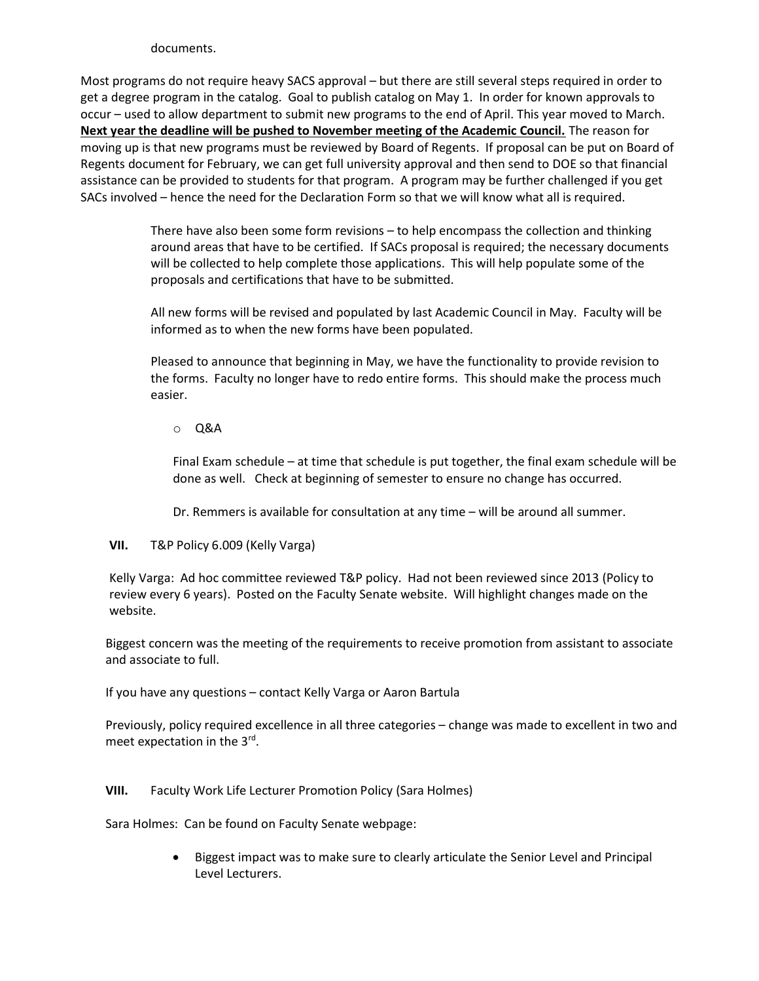#### documents.

Most programs do not require heavy SACS approval – but there are still several steps required in order to get a degree program in the catalog. Goal to publish catalog on May 1. In order for known approvals to occur – used to allow department to submit new programs to the end of April. This year moved to March. Next year the deadline will be pushed to November meeting of the Academic Council. The reason for moving up is that new programs must be reviewed by Board of Regents. If proposal can be put on Board of Regents document for February, we can get full university approval and then send to DOE so that financial assistance can be provided to students for that program. A program may be further challenged if you get SACs involved – hence the need for the Declaration Form so that we will know what all is required.

> There have also been some form revisions – to help encompass the collection and thinking around areas that have to be certified. If SACs proposal is required; the necessary documents will be collected to help complete those applications. This will help populate some of the proposals and certifications that have to be submitted.

All new forms will be revised and populated by last Academic Council in May. Faculty will be informed as to when the new forms have been populated.

Pleased to announce that beginning in May, we have the functionality to provide revision to the forms. Faculty no longer have to redo entire forms. This should make the process much easier.

# o Q&A

Final Exam schedule – at time that schedule is put together, the final exam schedule will be done as well. Check at beginning of semester to ensure no change has occurred.

Dr. Remmers is available for consultation at any time – will be around all summer.

# VII. T&P Policy 6.009 (Kelly Varga)

Kelly Varga: Ad hoc committee reviewed T&P policy. Had not been reviewed since 2013 (Policy to review every 6 years). Posted on the Faculty Senate website. Will highlight changes made on the website.

Biggest concern was the meeting of the requirements to receive promotion from assistant to associate and associate to full.

If you have any questions – contact Kelly Varga or Aaron Bartula

Previously, policy required excellence in all three categories – change was made to excellent in two and meet expectation in the 3<sup>rd</sup>.

# VIII. Faculty Work Life Lecturer Promotion Policy (Sara Holmes)

Sara Holmes: Can be found on Faculty Senate webpage:

 Biggest impact was to make sure to clearly articulate the Senior Level and Principal Level Lecturers.